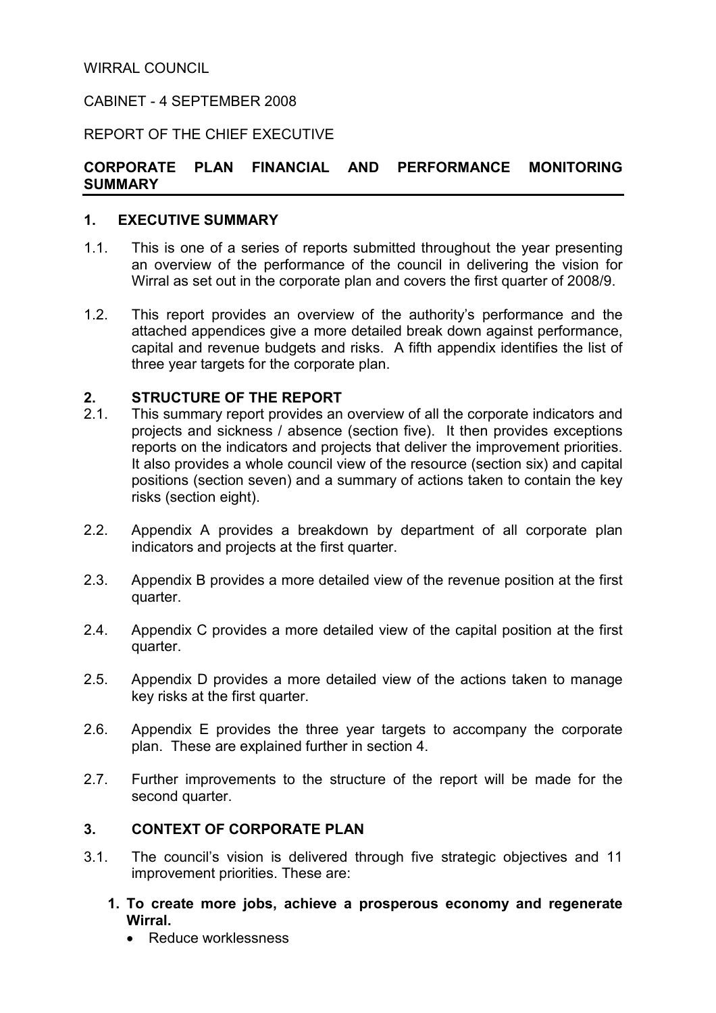## CABINET - 4 SEPTEMBER 2008

## REPORT OF THE CHIEF EXECUTIVE

## CORPORATE PLAN FINANCIAL AND PERFORMANCE MONITORING SUMMARY

### 1. EXECUTIVE SUMMARY

- 1.1. This is one of a series of reports submitted throughout the year presenting an overview of the performance of the council in delivering the vision for Wirral as set out in the corporate plan and covers the first quarter of 2008/9.
- 1.2. This report provides an overview of the authority's performance and the attached appendices give a more detailed break down against performance, capital and revenue budgets and risks. A fifth appendix identifies the list of three year targets for the corporate plan.

### 2. STRUCTURE OF THE REPORT

- 2.1. This summary report provides an overview of all the corporate indicators and projects and sickness / absence (section five). It then provides exceptions reports on the indicators and projects that deliver the improvement priorities. It also provides a whole council view of the resource (section six) and capital positions (section seven) and a summary of actions taken to contain the key risks (section eight).
- 2.2. Appendix A provides a breakdown by department of all corporate plan indicators and projects at the first quarter.
- 2.3. Appendix B provides a more detailed view of the revenue position at the first quarter.
- 2.4. Appendix C provides a more detailed view of the capital position at the first quarter.
- 2.5. Appendix D provides a more detailed view of the actions taken to manage key risks at the first quarter.
- 2.6. Appendix E provides the three year targets to accompany the corporate plan. These are explained further in section 4.
- 2.7. Further improvements to the structure of the report will be made for the second quarter.

## 3. CONTEXT OF CORPORATE PLAN

- 3.1. The council's vision is delivered through five strategic objectives and 11 improvement priorities. These are:
	- 1. To create more jobs, achieve a prosperous economy and regenerate Wirral.
		- Reduce worklessness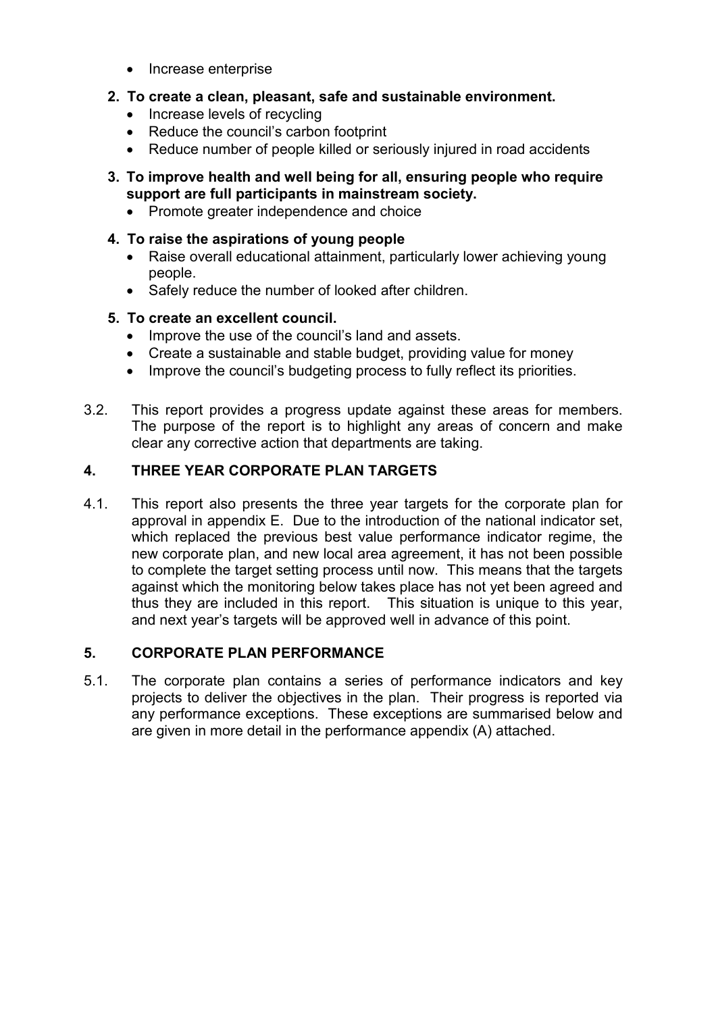- Increase enterprise
- 2. To create a clean, pleasant, safe and sustainable environment.
	- Increase levels of recycling
	- Reduce the council's carbon footprint
	- Reduce number of people killed or seriously injured in road accidents
- 3. To improve health and well being for all, ensuring people who require support are full participants in mainstream society.
	- Promote greater independence and choice
- 4. To raise the aspirations of young people
	- Raise overall educational attainment, particularly lower achieving young people.
	- Safely reduce the number of looked after children.

## 5. To create an excellent council.

- Improve the use of the council's land and assets.
- Create a sustainable and stable budget, providing value for money
- Improve the council's budgeting process to fully reflect its priorities.
- 3.2. This report provides a progress update against these areas for members. The purpose of the report is to highlight any areas of concern and make clear any corrective action that departments are taking.

## 4. THREE YEAR CORPORATE PLAN TARGETS

4.1. This report also presents the three year targets for the corporate plan for approval in appendix E. Due to the introduction of the national indicator set, which replaced the previous best value performance indicator regime, the new corporate plan, and new local area agreement, it has not been possible to complete the target setting process until now. This means that the targets against which the monitoring below takes place has not yet been agreed and thus they are included in this report. This situation is unique to this year, and next year's targets will be approved well in advance of this point.

## 5. CORPORATE PLAN PERFORMANCE

5.1. The corporate plan contains a series of performance indicators and key projects to deliver the objectives in the plan. Their progress is reported via any performance exceptions. These exceptions are summarised below and are given in more detail in the performance appendix (A) attached.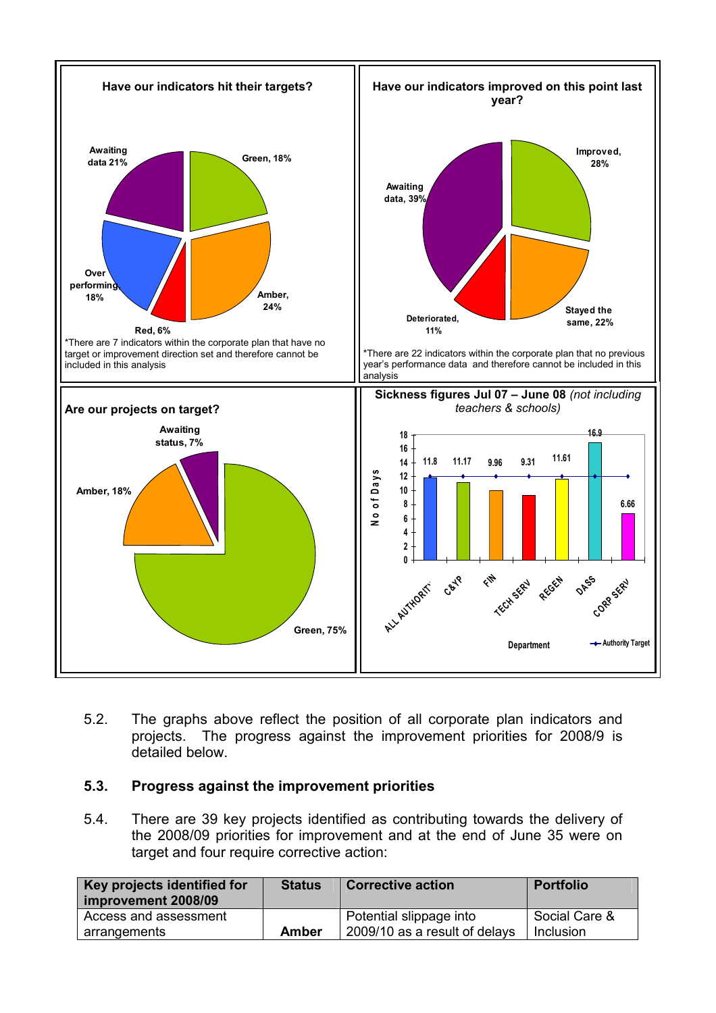

5.2. The graphs above reflect the position of all corporate plan indicators and projects. The progress against the improvement priorities for 2008/9 is detailed below.

## 5.3. Progress against the improvement priorities

5.4. There are 39 key projects identified as contributing towards the delivery of the 2008/09 priorities for improvement and at the end of June 35 were on target and four require corrective action:

| <b>Key projects identified for</b><br>improvement 2008/09 | <b>Status</b> | <b>Corrective action</b>      | <b>Portfolio</b> |
|-----------------------------------------------------------|---------------|-------------------------------|------------------|
| Access and assessment                                     | Amber         | Potential slippage into       | Social Care &    |
| arrangements                                              |               | 2009/10 as a result of delays | Inclusion        |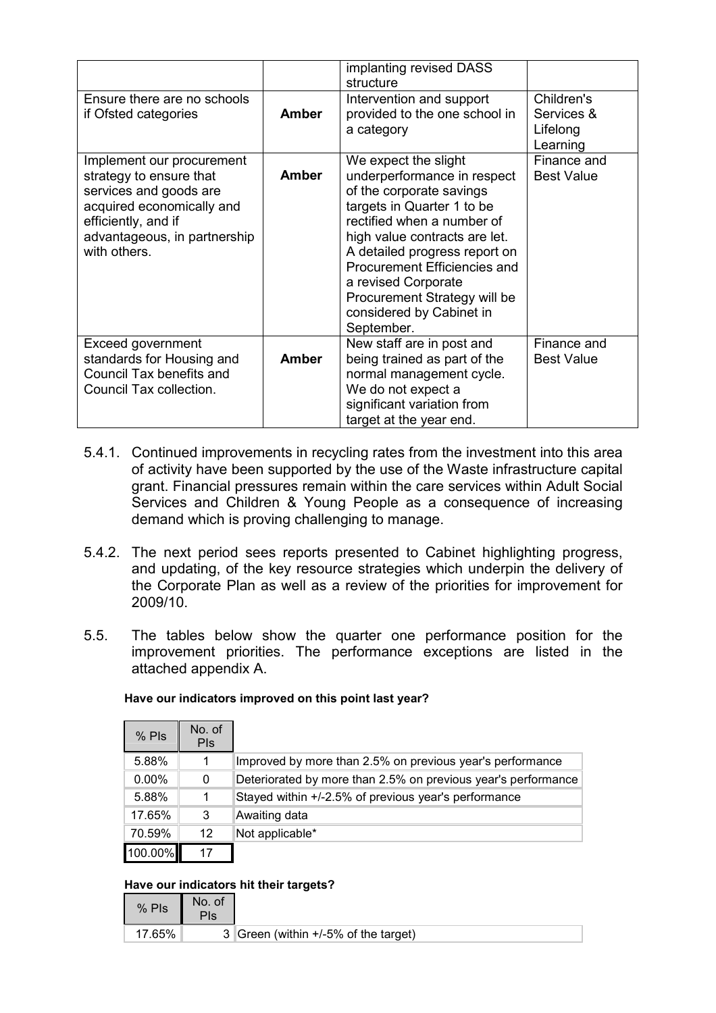|                                                                                                                                                                                    |              | implanting revised DASS<br>structure                                                                                                                                                                                                                                                                                                           |                                                  |
|------------------------------------------------------------------------------------------------------------------------------------------------------------------------------------|--------------|------------------------------------------------------------------------------------------------------------------------------------------------------------------------------------------------------------------------------------------------------------------------------------------------------------------------------------------------|--------------------------------------------------|
| Ensure there are no schools<br>if Ofsted categories                                                                                                                                | <b>Amber</b> | Intervention and support<br>provided to the one school in<br>a category                                                                                                                                                                                                                                                                        | Children's<br>Services &<br>Lifelong<br>Learning |
| Implement our procurement<br>strategy to ensure that<br>services and goods are<br>acquired economically and<br>efficiently, and if<br>advantageous, in partnership<br>with others. | <b>Amber</b> | We expect the slight<br>underperformance in respect<br>of the corporate savings<br>targets in Quarter 1 to be<br>rectified when a number of<br>high value contracts are let.<br>A detailed progress report on<br>Procurement Efficiencies and<br>a revised Corporate<br>Procurement Strategy will be<br>considered by Cabinet in<br>September. | Finance and<br><b>Best Value</b>                 |
| Exceed government<br>standards for Housing and<br>Council Tax benefits and<br>Council Tax collection.                                                                              | <b>Amber</b> | New staff are in post and<br>being trained as part of the<br>normal management cycle.<br>We do not expect a<br>significant variation from<br>target at the year end.                                                                                                                                                                           | Finance and<br><b>Best Value</b>                 |

- 5.4.1. Continued improvements in recycling rates from the investment into this area of activity have been supported by the use of the Waste infrastructure capital grant. Financial pressures remain within the care services within Adult Social Services and Children & Young People as a consequence of increasing demand which is proving challenging to manage.
- 5.4.2. The next period sees reports presented to Cabinet highlighting progress, and updating, of the key resource strategies which underpin the delivery of the Corporate Plan as well as a review of the priorities for improvement for 2009/10.
- 5.5. The tables below show the quarter one performance position for the improvement priorities. The performance exceptions are listed in the attached appendix A.

| $%$ Pls  | No. of<br><b>PIS</b> |                                                               |
|----------|----------------------|---------------------------------------------------------------|
| 5.88%    |                      | Improved by more than 2.5% on previous year's performance     |
| $0.00\%$ | 0                    | Deteriorated by more than 2.5% on previous year's performance |
| 5.88%    |                      | Stayed within +/-2.5% of previous year's performance          |
| 17.65%   | 3                    | Awaiting data                                                 |
| 70.59%   | 12 <sup>2</sup>      | Not applicable*                                               |
| 100.00%  | 17                   |                                                               |

#### Have our indicators improved on this point last year?

#### Have our indicators hit their targets?

| $%$ PIs  | No. of |                                      |
|----------|--------|--------------------------------------|
| 17.65% . |        | 3 Green (within +/-5% of the target) |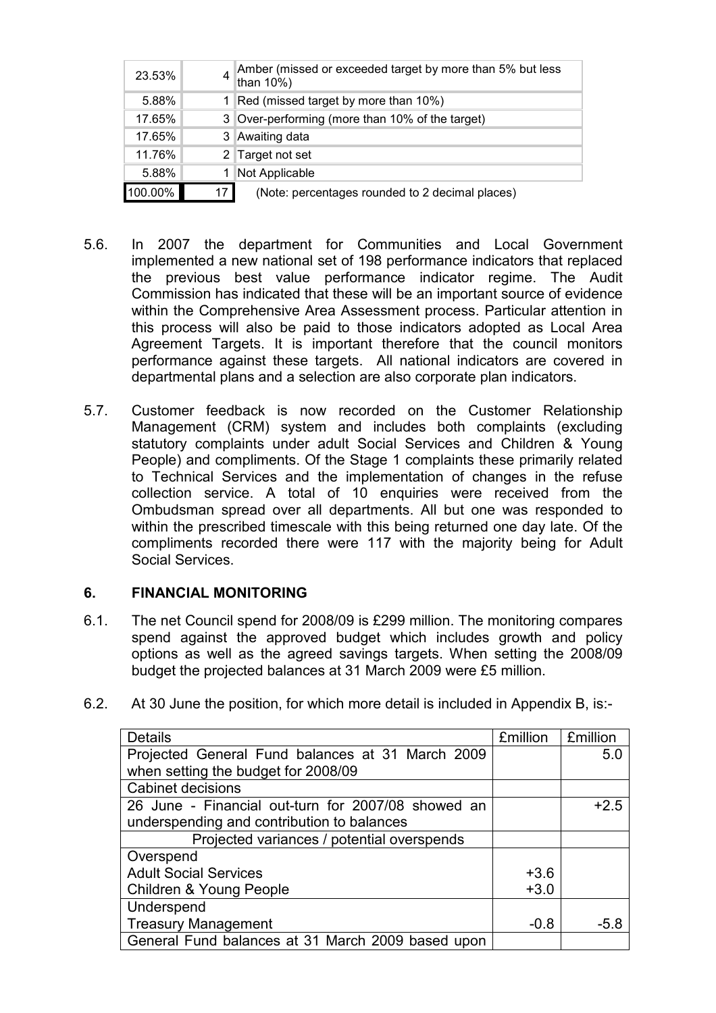| 23.53%  | 4    | Amber (missed or exceeded target by more than 5% but less<br>than 10%) |
|---------|------|------------------------------------------------------------------------|
| 5.88%   |      | Red (missed target by more than 10%)                                   |
| 17.65%  |      | 3 Over-performing (more than 10% of the target)                        |
| 17.65%  |      | 3 Awaiting data                                                        |
| 11.76%  |      | 2 Target not set                                                       |
| 5.88%   |      | Not Applicable                                                         |
| 100.00% | 17 I | (Note: percentages rounded to 2 decimal places)                        |

- 5.6. In 2007 the department for Communities and Local Government implemented a new national set of 198 performance indicators that replaced the previous best value performance indicator regime. The Audit Commission has indicated that these will be an important source of evidence within the Comprehensive Area Assessment process. Particular attention in this process will also be paid to those indicators adopted as Local Area Agreement Targets. It is important therefore that the council monitors performance against these targets. All national indicators are covered in departmental plans and a selection are also corporate plan indicators.
- 5.7. Customer feedback is now recorded on the Customer Relationship Management (CRM) system and includes both complaints (excluding statutory complaints under adult Social Services and Children & Young People) and compliments. Of the Stage 1 complaints these primarily related to Technical Services and the implementation of changes in the refuse collection service. A total of 10 enquiries were received from the Ombudsman spread over all departments. All but one was responded to within the prescribed timescale with this being returned one day late. Of the compliments recorded there were 117 with the majority being for Adult Social Services.

# 6. FINANCIAL MONITORING

6.1. The net Council spend for 2008/09 is £299 million. The monitoring compares spend against the approved budget which includes growth and policy options as well as the agreed savings targets. When setting the 2008/09 budget the projected balances at 31 March 2009 were £5 million.

| 6.2. |  |  | At 30 June the position, for which more detail is included in Appendix B, is:- |
|------|--|--|--------------------------------------------------------------------------------|
|------|--|--|--------------------------------------------------------------------------------|

| <b>Details</b>                                     | <b>£million</b> | <b>£million</b> |
|----------------------------------------------------|-----------------|-----------------|
| Projected General Fund balances at 31 March 2009   |                 | 5.0             |
| when setting the budget for 2008/09                |                 |                 |
| <b>Cabinet decisions</b>                           |                 |                 |
| 26 June - Financial out-turn for 2007/08 showed an |                 | $+2.5$          |
| underspending and contribution to balances         |                 |                 |
| Projected variances / potential overspends         |                 |                 |
| Overspend                                          |                 |                 |
| <b>Adult Social Services</b>                       | $+3.6$          |                 |
| Children & Young People                            | $+3.0$          |                 |
| Underspend                                         |                 |                 |
| <b>Treasury Management</b>                         | $-0.8$          | -5.8            |
| General Fund balances at 31 March 2009 based upon  |                 |                 |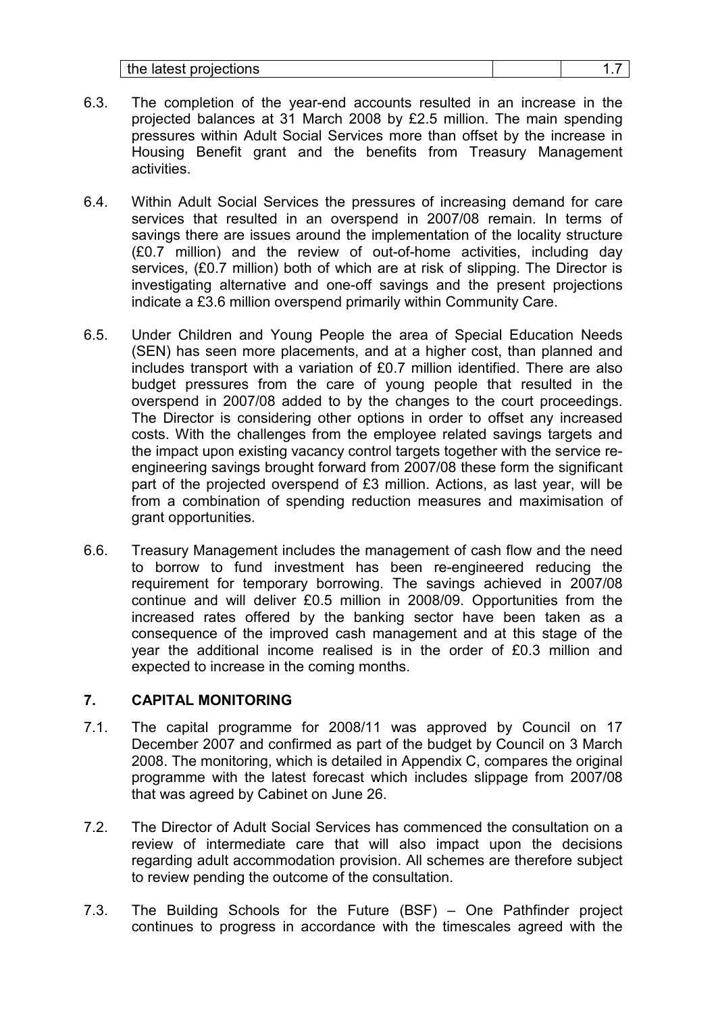| I the latest projections |  |  |
|--------------------------|--|--|
|--------------------------|--|--|

- 6.3. The completion of the year-end accounts resulted in an increase in the projected balances at 31 March 2008 by £2.5 million. The main spending pressures within Adult Social Services more than offset by the increase in Housing Benefit grant and the benefits from Treasury Management activities.
- 6.4. Within Adult Social Services the pressures of increasing demand for care services that resulted in an overspend in 2007/08 remain. In terms of savings there are issues around the implementation of the locality structure (£0.7 million) and the review of out-of-home activities, including day services, (£0.7 million) both of which are at risk of slipping. The Director is investigating alternative and one-off savings and the present projections indicate a £3.6 million overspend primarily within Community Care.
- 6.5. Under Children and Young People the area of Special Education Needs (SEN) has seen more placements, and at a higher cost, than planned and includes transport with a variation of £0.7 million identified. There are also budget pressures from the care of young people that resulted in the overspend in 2007/08 added to by the changes to the court proceedings. The Director is considering other options in order to offset any increased costs. With the challenges from the employee related savings targets and the impact upon existing vacancy control targets together with the service reengineering savings brought forward from 2007/08 these form the significant part of the projected overspend of £3 million. Actions, as last year, will be from a combination of spending reduction measures and maximisation of grant opportunities.
- 6.6. Treasury Management includes the management of cash flow and the need to borrow to fund investment has been re-engineered reducing the requirement for temporary borrowing. The savings achieved in 2007/08 continue and will deliver £0.5 million in 2008/09. Opportunities from the increased rates offered by the banking sector have been taken as a consequence of the improved cash management and at this stage of the year the additional income realised is in the order of £0.3 million and expected to increase in the coming months.

## 7. CAPITAL MONITORING

- 7.1. The capital programme for 2008/11 was approved by Council on 17 December 2007 and confirmed as part of the budget by Council on 3 March 2008. The monitoring, which is detailed in Appendix C, compares the original programme with the latest forecast which includes slippage from 2007/08 that was agreed by Cabinet on June 26.
- 7.2. The Director of Adult Social Services has commenced the consultation on a review of intermediate care that will also impact upon the decisions regarding adult accommodation provision. All schemes are therefore subject to review pending the outcome of the consultation.
- 7.3. The Building Schools for the Future (BSF) One Pathfinder project continues to progress in accordance with the timescales agreed with the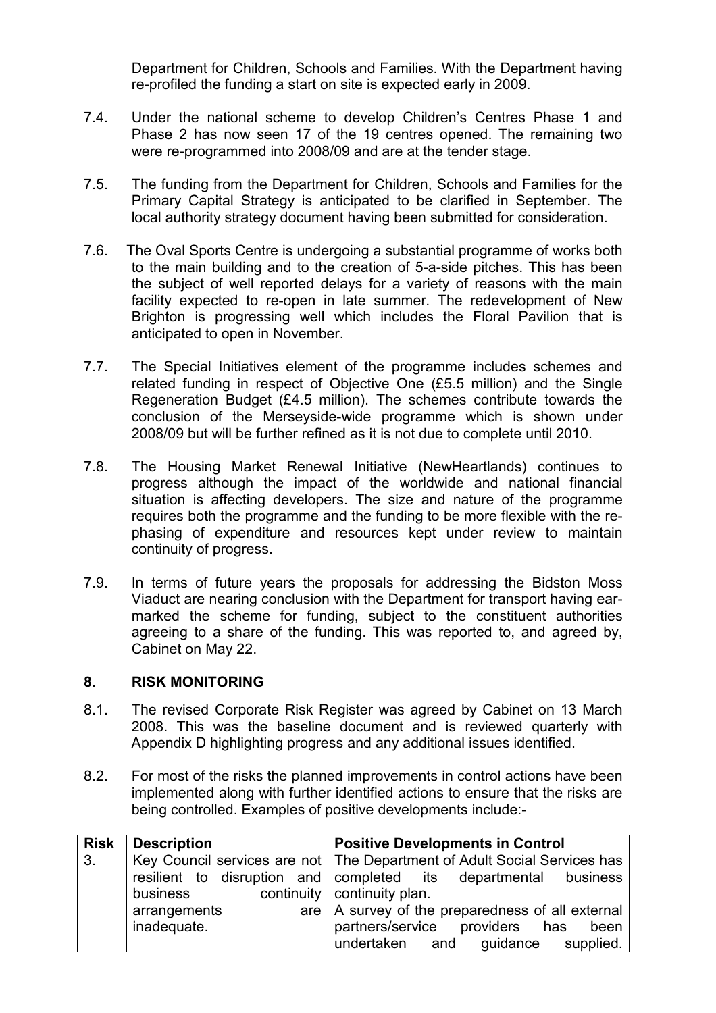Department for Children, Schools and Families. With the Department having re-profiled the funding a start on site is expected early in 2009.

- 7.4. Under the national scheme to develop Children's Centres Phase 1 and Phase 2 has now seen 17 of the 19 centres opened. The remaining two were re-programmed into 2008/09 and are at the tender stage.
- 7.5. The funding from the Department for Children, Schools and Families for the Primary Capital Strategy is anticipated to be clarified in September. The local authority strategy document having been submitted for consideration.
- 7.6. The Oval Sports Centre is undergoing a substantial programme of works both to the main building and to the creation of 5-a-side pitches. This has been the subject of well reported delays for a variety of reasons with the main facility expected to re-open in late summer. The redevelopment of New Brighton is progressing well which includes the Floral Pavilion that is anticipated to open in November.
- 7.7. The Special Initiatives element of the programme includes schemes and related funding in respect of Objective One (£5.5 million) and the Single Regeneration Budget (£4.5 million). The schemes contribute towards the conclusion of the Merseyside-wide programme which is shown under 2008/09 but will be further refined as it is not due to complete until 2010.
- 7.8. The Housing Market Renewal Initiative (NewHeartlands) continues to progress although the impact of the worldwide and national financial situation is affecting developers. The size and nature of the programme requires both the programme and the funding to be more flexible with the rephasing of expenditure and resources kept under review to maintain continuity of progress.
- 7.9. In terms of future years the proposals for addressing the Bidston Moss Viaduct are nearing conclusion with the Department for transport having earmarked the scheme for funding, subject to the constituent authorities agreeing to a share of the funding. This was reported to, and agreed by, Cabinet on May 22.

## 8. RISK MONITORING

- 8.1. The revised Corporate Risk Register was agreed by Cabinet on 13 March 2008. This was the baseline document and is reviewed quarterly with Appendix D highlighting progress and any additional issues identified.
- 8.2. For most of the risks the planned improvements in control actions have been implemented along with further identified actions to ensure that the risks are being controlled. Examples of positive developments include:-

| <b>Risk</b> | <b>Description</b> | <b>Positive Developments in Control</b>                                    |
|-------------|--------------------|----------------------------------------------------------------------------|
| 3.          |                    | Key Council services are not   The Department of Adult Social Services has |
|             |                    | resilient to disruption and completed its departmental<br>business         |
|             | business           | continuity $\vert$ continuity plan.                                        |
|             | arrangements       | are   A survey of the preparedness of all external                         |
|             | inadequate.        | partners/service<br>providers<br>been<br>has                               |
|             |                    | undertaken and guidance<br>supplied.                                       |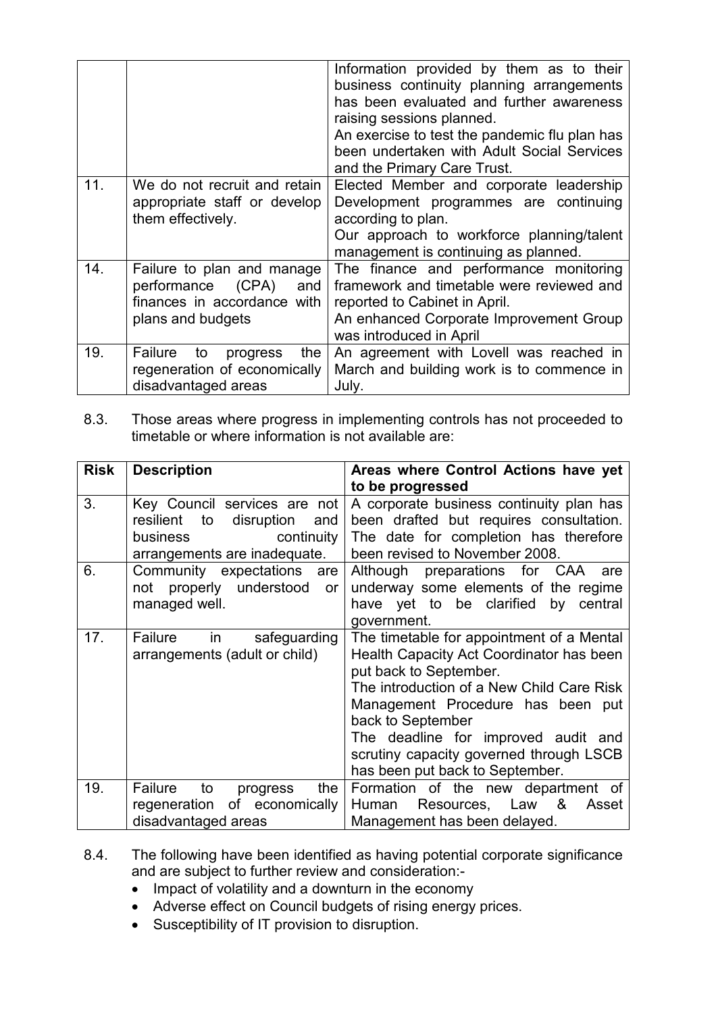|     |                                                                                                            | Information provided by them as to their<br>business continuity planning arrangements<br>has been evaluated and further awareness<br>raising sessions planned.<br>An exercise to test the pandemic flu plan has<br>been undertaken with Adult Social Services<br>and the Primary Care Trust. |
|-----|------------------------------------------------------------------------------------------------------------|----------------------------------------------------------------------------------------------------------------------------------------------------------------------------------------------------------------------------------------------------------------------------------------------|
| 11. | We do not recruit and retain<br>appropriate staff or develop<br>them effectively.                          | Elected Member and corporate leadership<br>Development programmes are continuing<br>according to plan.<br>Our approach to workforce planning/talent<br>management is continuing as planned.                                                                                                  |
| 14. | Failure to plan and manage<br>performance (CPA)<br>and<br>finances in accordance with<br>plans and budgets | The finance and performance monitoring<br>framework and timetable were reviewed and<br>reported to Cabinet in April.<br>An enhanced Corporate Improvement Group<br>was introduced in April                                                                                                   |
| 19. | Failure to<br>the<br>progress<br>regeneration of economically<br>disadvantaged areas                       | An agreement with Lovell was reached in<br>March and building work is to commence in<br>July.                                                                                                                                                                                                |

8.3. Those areas where progress in implementing controls has not proceeded to timetable or where information is not available are:

| <b>Risk</b> | <b>Description</b>                                                                                                             | Areas where Control Actions have yet                                                                                                                                                                                                                                                                                                        |
|-------------|--------------------------------------------------------------------------------------------------------------------------------|---------------------------------------------------------------------------------------------------------------------------------------------------------------------------------------------------------------------------------------------------------------------------------------------------------------------------------------------|
|             |                                                                                                                                | to be progressed                                                                                                                                                                                                                                                                                                                            |
| 3.          | Key Council services are not<br>disruption<br>resilient<br>to<br>and<br>continuity<br>business<br>arrangements are inadequate. | A corporate business continuity plan has<br>been drafted but requires consultation.<br>The date for completion has therefore<br>been revised to November 2008.                                                                                                                                                                              |
| 6.          | Community expectations<br>are<br>not properly understood<br>or<br>managed well.                                                | Although preparations for CAA are<br>underway some elements of the regime<br>have yet to be clarified by central<br>government.                                                                                                                                                                                                             |
| 17.         | Failure in<br>safeguarding<br>arrangements (adult or child)                                                                    | The timetable for appointment of a Mental<br>Health Capacity Act Coordinator has been<br>put back to September.<br>The introduction of a New Child Care Risk<br>Management Procedure has been put<br>back to September<br>The deadline for improved audit and<br>scrutiny capacity governed through LSCB<br>has been put back to September. |
| 19.         | the<br>Failure<br>to<br>progress<br>of economically<br>regeneration<br>disadvantaged areas                                     | Formation of the new department of<br>Resources, Law &<br>Human<br>Asset<br>Management has been delayed.                                                                                                                                                                                                                                    |

- 8.4. The following have been identified as having potential corporate significance and are subject to further review and consideration:-
	- Impact of volatility and a downturn in the economy
	- Adverse effect on Council budgets of rising energy prices.
	- Susceptibility of IT provision to disruption.